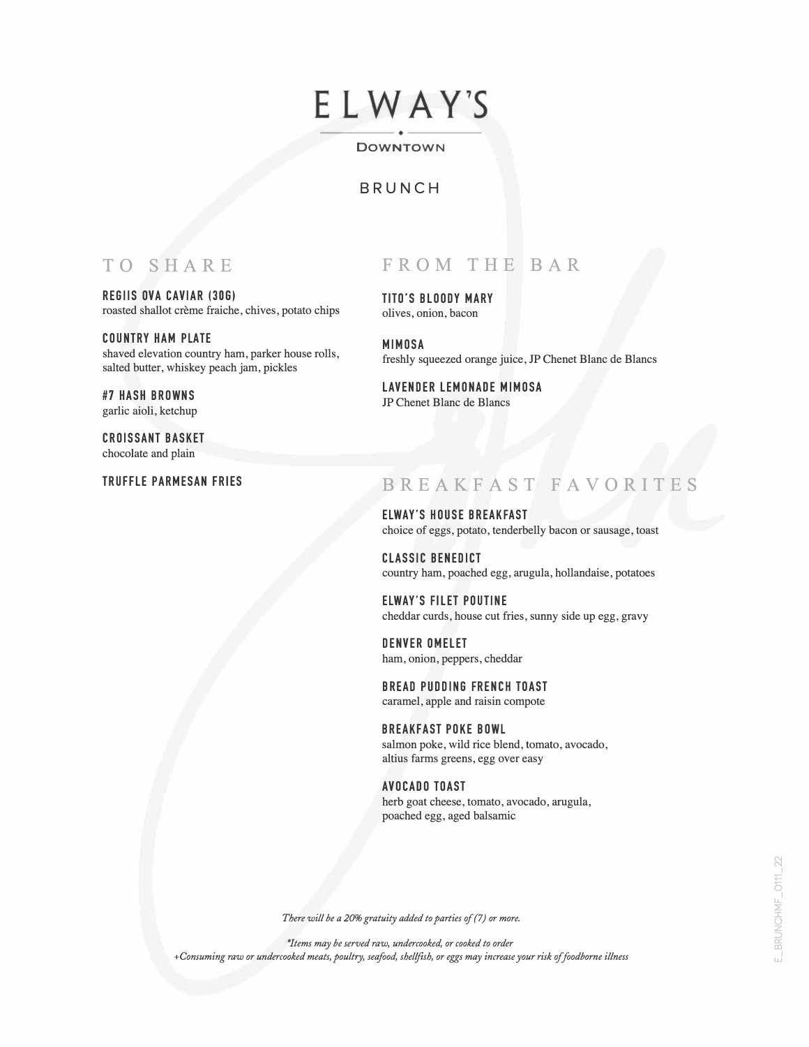# ELWAY'S

#### ----- ----- DOWNTOWN

## BRUNCH

## TO SHARE

REGllS OVA CAVIAR (306) roasted shallot crème fraiche, chives, potato chips

COUNTRY HAM PLATE shaved elevation country ham, parker house rolls, salted butter, whiskey peach jam, pickles

#7 HASH BROWNS garlic aioli, ketchup

CROISSANT BASKET chocolate and plain

TRUFFLE PARMESAN FRIES

# FROM THE BAR

TITO'S BLOODY MARY olives, onion, bacon

MIMOSA freshly squeezed orange juice, JP Chenet Blanc de Blancs

LAVENDER LEMONADE MIMOSA JP Chenet Blanc de Blancs

## BREAKFAST FAVORITE

ELWAY'S HOUSE BREAKFAST choice of eggs, potato, tenderbelly bacon or sausage, toast

CLASSIC BENEDICT country ham, poached egg, arugula, hollandaise, potatoes

ELWAY'S FILET POUTINE cheddar curds, house cut fries, sunny side up egg, gravy

DENVER OMELET ham, onion, peppers, cheddar

BREAD PUDDING FRENCH TOAST caramel, apple and raisin compote

BREAKFAST POKE BOWL salmon poke, wild rice blend, tomato, avocado, altius farms greens, egg over easy

AVOCADO TOAST herb goat cheese, tomato, avocado, arugula, poached egg, aged balsamic

E\_BRUNCHMF\_0111\_22

There will be a 20% gratuity added to parties of (7) or more.

\*Items may be served raw, undercooked, or cooked to order +Consuming raw or undercooked meats, poultry, seafood, shellfish, or eggs may increase your risk of foodborne illness